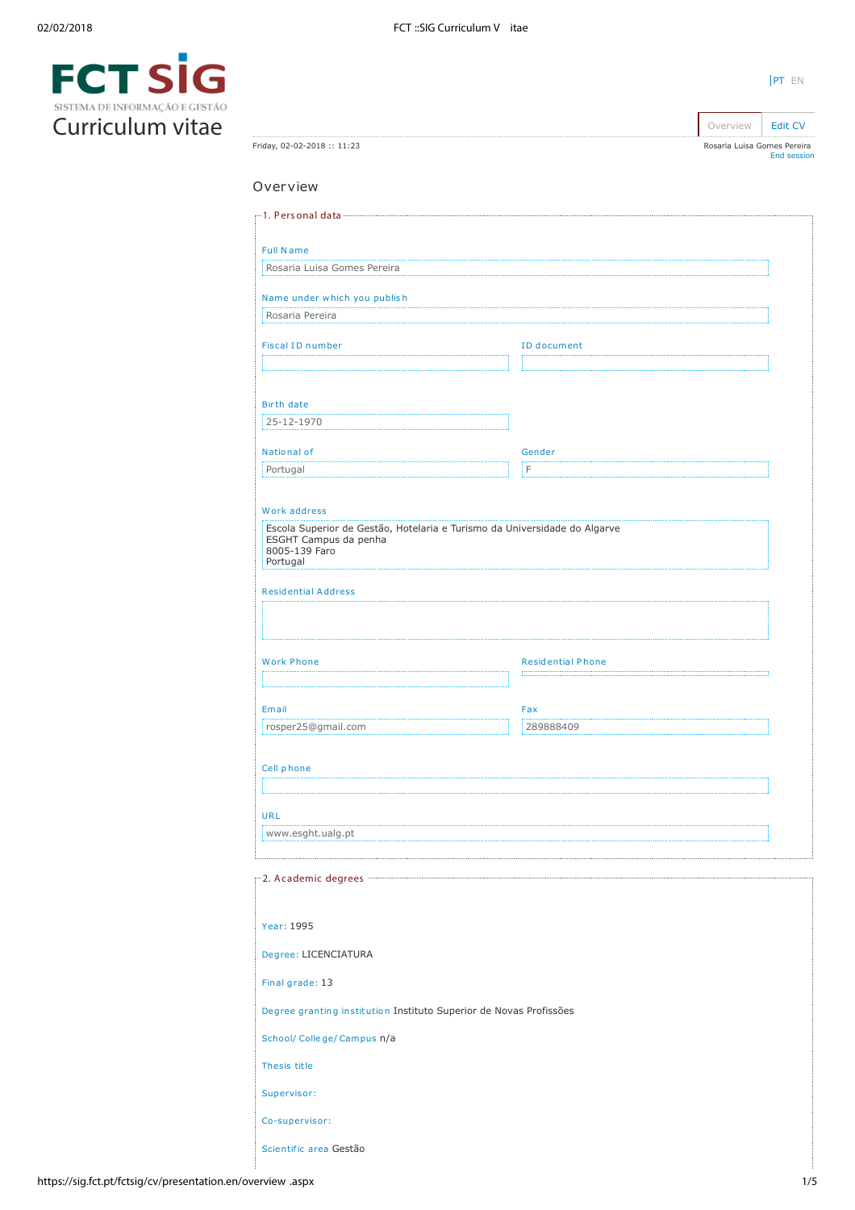

| Rosaria Luisa Gomes Pereira<br><b>Full Name</b><br>Rosaria Luisa Gomes Pereira<br>Name under which you publish<br>Rosaria Pereira<br><b>Fiscal ID number</b><br><b>ID</b> document<br><b>Birth date</b><br>25-12-1970<br>National of<br>Gender<br>łΕ<br>Portugal<br>Work address<br>Escola Superior de Gestão, Hotelaria e Turismo da Universidade do Algarve<br>ESGHT Campus da penha<br>8005-139 Faro<br>Portugal<br><b>Residential Address</b><br><b>Work Phone</b><br><b>Residential Phone</b><br>Email<br>Fax<br>rosper25@gmail.com<br>289888409<br>Cell phone<br>www.esght.ualg.pt<br>m2. Academic degrees more<br>Degree: LICENCIATURA<br>Final grade: 13<br>Degree granting institution Instituto Superior de Novas Profissões<br>School/ College/ Campus n/a<br>Thesis title<br>Supervisor:<br>Co-supervisor:<br>Scientific area Gestão |                             | Overview | Edit CV     |
|--------------------------------------------------------------------------------------------------------------------------------------------------------------------------------------------------------------------------------------------------------------------------------------------------------------------------------------------------------------------------------------------------------------------------------------------------------------------------------------------------------------------------------------------------------------------------------------------------------------------------------------------------------------------------------------------------------------------------------------------------------------------------------------------------------------------------------------------------|-----------------------------|----------|-------------|
|                                                                                                                                                                                                                                                                                                                                                                                                                                                                                                                                                                                                                                                                                                                                                                                                                                                  | Friday, 02-02-2018 :: 11:23 |          | End session |
|                                                                                                                                                                                                                                                                                                                                                                                                                                                                                                                                                                                                                                                                                                                                                                                                                                                  | Overview                    |          |             |
|                                                                                                                                                                                                                                                                                                                                                                                                                                                                                                                                                                                                                                                                                                                                                                                                                                                  |                             |          |             |
|                                                                                                                                                                                                                                                                                                                                                                                                                                                                                                                                                                                                                                                                                                                                                                                                                                                  |                             |          |             |
|                                                                                                                                                                                                                                                                                                                                                                                                                                                                                                                                                                                                                                                                                                                                                                                                                                                  |                             |          |             |
|                                                                                                                                                                                                                                                                                                                                                                                                                                                                                                                                                                                                                                                                                                                                                                                                                                                  |                             |          |             |
|                                                                                                                                                                                                                                                                                                                                                                                                                                                                                                                                                                                                                                                                                                                                                                                                                                                  |                             |          |             |
|                                                                                                                                                                                                                                                                                                                                                                                                                                                                                                                                                                                                                                                                                                                                                                                                                                                  |                             |          |             |
|                                                                                                                                                                                                                                                                                                                                                                                                                                                                                                                                                                                                                                                                                                                                                                                                                                                  |                             |          |             |
|                                                                                                                                                                                                                                                                                                                                                                                                                                                                                                                                                                                                                                                                                                                                                                                                                                                  |                             |          |             |
|                                                                                                                                                                                                                                                                                                                                                                                                                                                                                                                                                                                                                                                                                                                                                                                                                                                  |                             |          |             |
|                                                                                                                                                                                                                                                                                                                                                                                                                                                                                                                                                                                                                                                                                                                                                                                                                                                  |                             |          |             |
|                                                                                                                                                                                                                                                                                                                                                                                                                                                                                                                                                                                                                                                                                                                                                                                                                                                  |                             |          |             |
|                                                                                                                                                                                                                                                                                                                                                                                                                                                                                                                                                                                                                                                                                                                                                                                                                                                  |                             |          |             |
|                                                                                                                                                                                                                                                                                                                                                                                                                                                                                                                                                                                                                                                                                                                                                                                                                                                  |                             |          |             |
|                                                                                                                                                                                                                                                                                                                                                                                                                                                                                                                                                                                                                                                                                                                                                                                                                                                  |                             |          |             |
|                                                                                                                                                                                                                                                                                                                                                                                                                                                                                                                                                                                                                                                                                                                                                                                                                                                  |                             |          |             |
|                                                                                                                                                                                                                                                                                                                                                                                                                                                                                                                                                                                                                                                                                                                                                                                                                                                  |                             |          |             |
|                                                                                                                                                                                                                                                                                                                                                                                                                                                                                                                                                                                                                                                                                                                                                                                                                                                  |                             |          |             |
|                                                                                                                                                                                                                                                                                                                                                                                                                                                                                                                                                                                                                                                                                                                                                                                                                                                  |                             |          |             |
|                                                                                                                                                                                                                                                                                                                                                                                                                                                                                                                                                                                                                                                                                                                                                                                                                                                  |                             |          |             |
|                                                                                                                                                                                                                                                                                                                                                                                                                                                                                                                                                                                                                                                                                                                                                                                                                                                  |                             |          |             |
|                                                                                                                                                                                                                                                                                                                                                                                                                                                                                                                                                                                                                                                                                                                                                                                                                                                  |                             |          |             |
|                                                                                                                                                                                                                                                                                                                                                                                                                                                                                                                                                                                                                                                                                                                                                                                                                                                  |                             |          |             |
|                                                                                                                                                                                                                                                                                                                                                                                                                                                                                                                                                                                                                                                                                                                                                                                                                                                  |                             |          |             |
|                                                                                                                                                                                                                                                                                                                                                                                                                                                                                                                                                                                                                                                                                                                                                                                                                                                  | URL                         |          |             |
|                                                                                                                                                                                                                                                                                                                                                                                                                                                                                                                                                                                                                                                                                                                                                                                                                                                  |                             |          |             |
|                                                                                                                                                                                                                                                                                                                                                                                                                                                                                                                                                                                                                                                                                                                                                                                                                                                  |                             |          |             |
|                                                                                                                                                                                                                                                                                                                                                                                                                                                                                                                                                                                                                                                                                                                                                                                                                                                  |                             |          |             |
|                                                                                                                                                                                                                                                                                                                                                                                                                                                                                                                                                                                                                                                                                                                                                                                                                                                  | Year: 1995                  |          |             |
|                                                                                                                                                                                                                                                                                                                                                                                                                                                                                                                                                                                                                                                                                                                                                                                                                                                  |                             |          |             |
|                                                                                                                                                                                                                                                                                                                                                                                                                                                                                                                                                                                                                                                                                                                                                                                                                                                  |                             |          |             |
|                                                                                                                                                                                                                                                                                                                                                                                                                                                                                                                                                                                                                                                                                                                                                                                                                                                  |                             |          |             |
|                                                                                                                                                                                                                                                                                                                                                                                                                                                                                                                                                                                                                                                                                                                                                                                                                                                  |                             |          |             |
|                                                                                                                                                                                                                                                                                                                                                                                                                                                                                                                                                                                                                                                                                                                                                                                                                                                  |                             |          |             |
|                                                                                                                                                                                                                                                                                                                                                                                                                                                                                                                                                                                                                                                                                                                                                                                                                                                  |                             |          |             |
|                                                                                                                                                                                                                                                                                                                                                                                                                                                                                                                                                                                                                                                                                                                                                                                                                                                  |                             |          |             |
|                                                                                                                                                                                                                                                                                                                                                                                                                                                                                                                                                                                                                                                                                                                                                                                                                                                  |                             |          |             |

[PT](https://sig.fct.pt/fctsig/cv/presentation.pt/overview.aspx) EN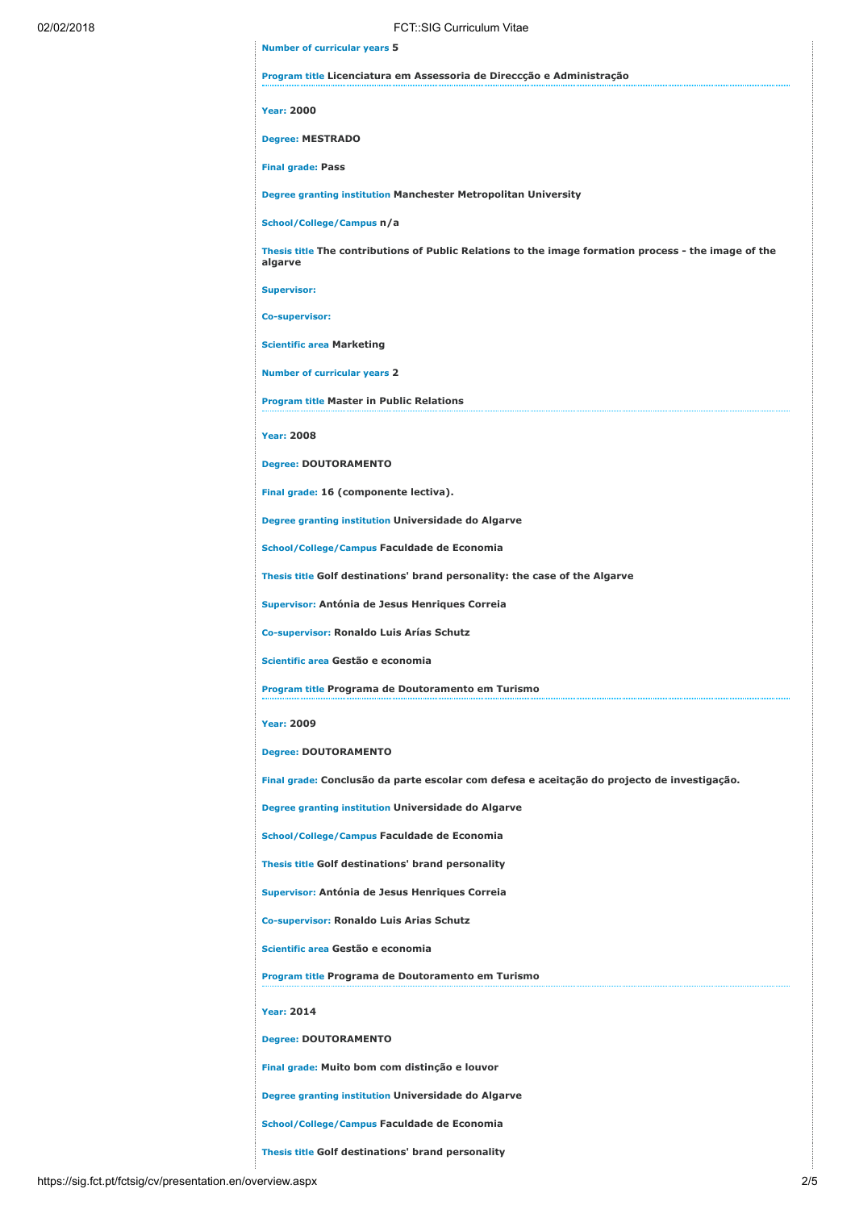| 02/02/2018 | FCT::SIG Curriculum Vitae                                                                                       |
|------------|-----------------------------------------------------------------------------------------------------------------|
|            | <b>Number of curricular years 5</b>                                                                             |
|            | Program title Licenciatura em Assessoria de Direccção e Administração                                           |
|            | <b>Year: 2000</b>                                                                                               |
|            | <b>Degree: MESTRADO</b>                                                                                         |
|            | <b>Final grade: Pass</b>                                                                                        |
|            | Degree granting institution Manchester Metropolitan University                                                  |
|            | School/College/Campus n/a                                                                                       |
|            | Thesis title The contributions of Public Relations to the image formation process - the image of the<br>algarve |
|            | <b>Supervisor:</b>                                                                                              |
|            | <b>Co-supervisor:</b>                                                                                           |
|            | <b>Scientific area Marketing</b>                                                                                |
|            | <b>Number of curricular years 2</b>                                                                             |
|            | <b>Program title Master in Public Relations</b>                                                                 |
|            | <b>Year: 2008</b>                                                                                               |
|            | <b>Degree: DOUTORAMENTO</b>                                                                                     |
|            | Final grade: 16 (componente lectiva).                                                                           |
|            | Degree granting institution Universidade do Algarve                                                             |
|            | School/College/Campus Faculdade de Economia                                                                     |
|            | Thesis title Golf destinations' brand personality: the case of the Algarve                                      |
|            | Supervisor: Antónia de Jesus Henriques Correia                                                                  |
|            | Co-supervisor: Ronaldo Luis Arías Schutz                                                                        |
|            | Scientific area Gestão e economia                                                                               |
|            | Program title Programa de Doutoramento em Turismo                                                               |
|            | <b>Year: 2009</b>                                                                                               |
|            | <b>Degree: DOUTORAMENTO</b>                                                                                     |
|            | Final grade: Conclusão da parte escolar com defesa e aceitação do projecto de investigação.                     |
|            | Degree granting institution Universidade do Algarve                                                             |
|            | School/College/Campus Faculdade de Economia                                                                     |
|            | Thesis title Golf destinations' brand personality                                                               |
|            | Supervisor: Antónia de Jesus Henriques Correia                                                                  |
|            | Co-supervisor: Ronaldo Luis Arias Schutz                                                                        |
|            | Scientific area Gestão e economia                                                                               |
|            | Program title Programa de Doutoramento em Turismo                                                               |
|            | <b>Year: 2014</b>                                                                                               |
|            | <b>Degree: DOUTORAMENTO</b>                                                                                     |
|            | Final grade: Muito bom com distinção e louvor                                                                   |
|            | Degree granting institution Universidade do Algarve                                                             |
|            | School/College/Campus Faculdade de Economia                                                                     |
|            | Thesis title Golf destinations' brand personality                                                               |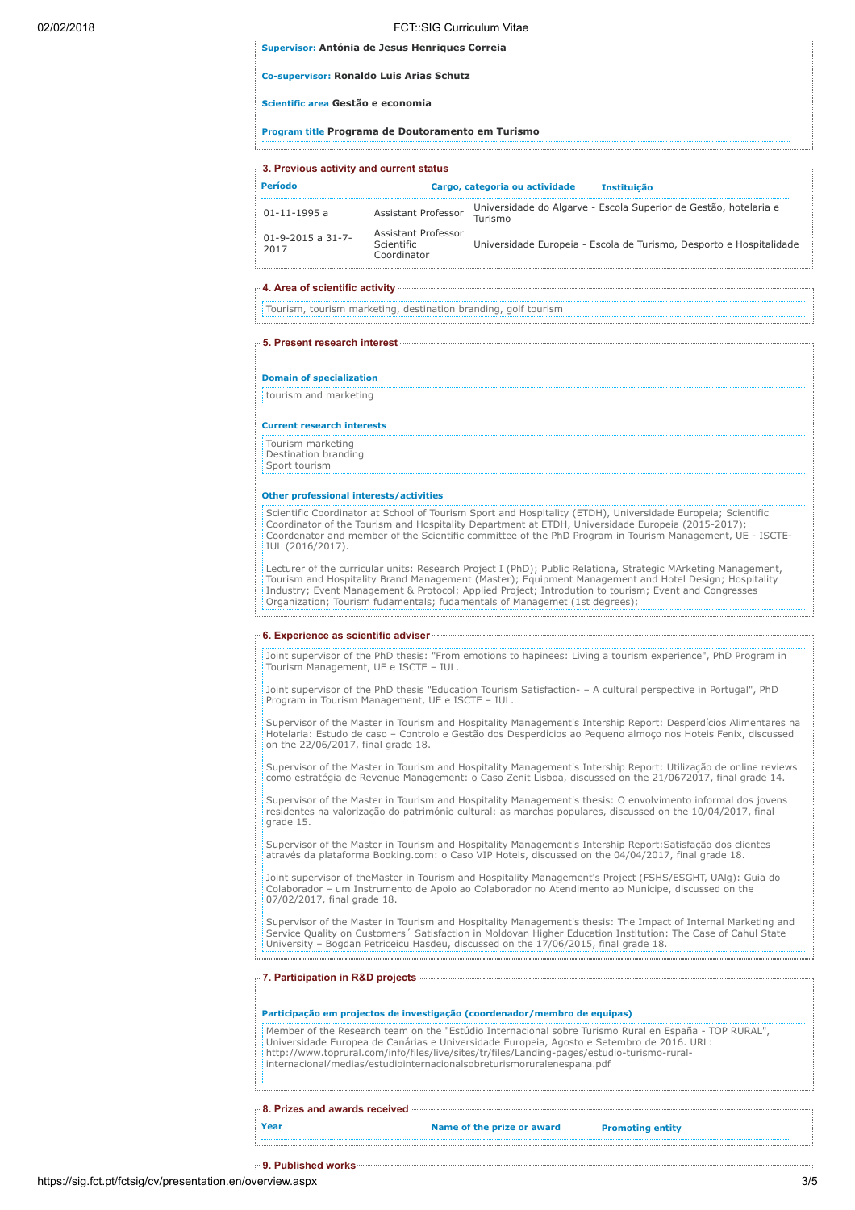# 02/02/2018 FCT::SIG Curriculum Vitae Supervisor: Antónia de Jesus Henriques Correia

|  |  | supervisor. Antonia de Jesus Heiniques Corre |  |
|--|--|----------------------------------------------|--|
|  |  |                                              |  |

Co-supervisor: Ronaldo Luis Arias Schutz

Scientific area Gestão e economia

Program title Programa de Doutoramento em Turismo

| Período                              |                                                  | Cargo, categoria ou actividade | <b>Instituição</b>                                                  |
|--------------------------------------|--------------------------------------------------|--------------------------------|---------------------------------------------------------------------|
| $01 - 11 - 1995$ a                   | Assistant Professor                              | Turismo                        | Universidade do Algarve - Escola Superior de Gestão, hotelaria e    |
| $01 - 9 - 2015$ a $31 - 7 -$<br>2017 | Assistant Professor<br>Scientific<br>Coordinator |                                | Universidade Europeia - Escola de Turismo, Desporto e Hospitalidade |

## 4. Area of scientific activity

Tourism, tourism marketing, destination branding, golf tourism

## 5. Present research interest

Domain of specialization

tourism and marketing

#### Current research interests

Tourism marketing Destination branding

Sport tourism

# Other professional interests/activities

Scientific Coordinator at School of Tourism Sport and Hospitality (ETDH), Universidade Europeia; Scientific Coordinator of the Tourism and Hospitality Department at ETDH, Universidade Europeia (2015-2017); Coordenator and member of the Scientific committee of the PhD Program in Tourism Management, UE - ISCTE-IUL (2016/2017).

Lecturer of the curricular units: Research Project I (PhD); Public Relationa, Strategic MArketing Management, Tourism and Hospitality Brand Management (Master); Equipment Management and Hotel Design; Hospitality Industry; Event Management & Protocol; Applied Project; Introdution to tourism; Event and Congresses Organization; Tourism fudamentals; fudamentals of Managemet (1st degrees);

## 6. Experience as scientific adviser

Joint supervisor of the PhD thesis: "From emotions to hapinees: Living a tourism experience", PhD Program in Tourism Management, UE e ISCTE – IUL.

Joint supervisor of the PhD thesis "Education Tourism Satisfaction- – A cultural perspective in Portugal", PhD Program in Tourism Management, UE e ISCTE – IUL.

Supervisor of the Master in Tourism and Hospitality Management's Intership Report: Desperdícios Alimentares na Hotelaria: Estudo de caso – Controlo e Gestão dos Desperdícios ao Pequeno almoço nos Hoteis Fenix, discussed on the 22/06/2017, final grade 18.

Supervisor of the Master in Tourism and Hospitality Management's Intership Report: Utilização de online reviews como estratégia de Revenue Management: o Caso Zenit Lisboa, discussed on the 21/0672017, final grade 14.

Supervisor of the Master in Tourism and Hospitality Management's thesis: O envolvimento informal dos jovens residentes na valorização do património cultural: as marchas populares, discussed on the 10/04/2017, final grade 15.

Supervisor of the Master in Tourism and Hospitality Management's Intership Report:Satisfação dos clientes através da plataforma Booking.com: o Caso VIP Hotels, discussed on the 04/04/2017, final grade 18.

Joint supervisor of theMaster in Tourism and Hospitality Management's Project (FSHS/ESGHT, UAlg): Guia do Colaborador – um Instrumento de Apoio ao Colaborador no Atendimento ao Munícipe, discussed on the 07/02/2017, final grade 18.

Supervisor of the Master in Tourism and Hospitality Management's thesis: The Impact of Internal Marketing and Service Quality on Customers´ Satisfaction in Moldovan Higher Education Institution: The Case of Cahul State University – Bogdan Petriceicu Hasdeu, discussed on the 17/06/2015, final grade 18.

#### 7. Participation in R&D projects

# Participação em projectos de investigação (coordenador/membro de equipas)

Member of the Research team on the "Estúdio Internacional sobre Turismo Rural en España - TOP RURAL", Universidade Europea de Canárias e Universidade Europeia, Agosto e Setembro de 2016. URL: http://www.toprural.com/info/files/live/sites/tr/files/Landing-pages/estudio-turismo-ruralinternacional/medias/estudiointernacionalsobreturismoruralenespana.pdf

### 8. Prizes and awards received

Year **Name of the prize or award** Promoting entity

9. Published works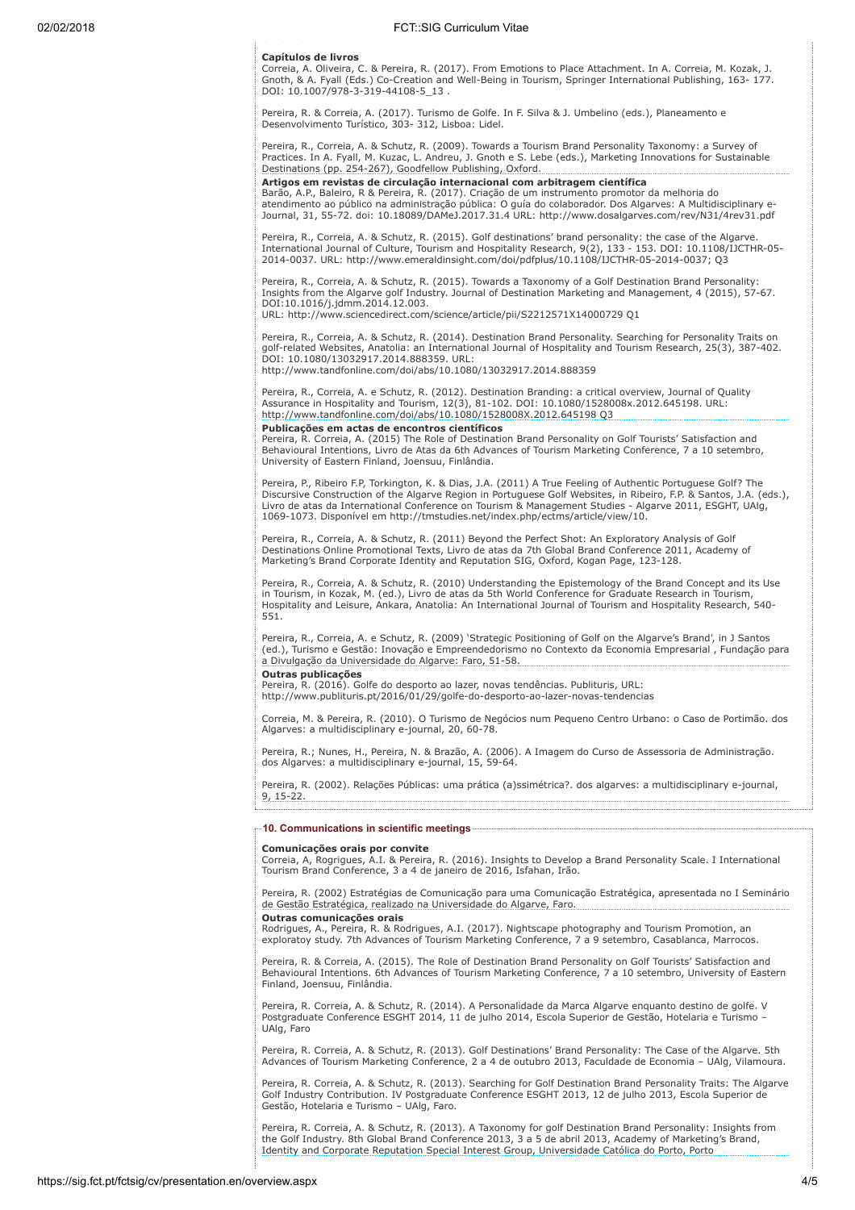# 9 ub s ed o s Capítulos de livros

Correia, A. Oliveira, C. & Pereira, R. (2017). From Emotions to Place Attachment. In A. Correia, M. Kozak, J. Gnoth, & A. Fyall (Eds.) Co-Creation and Well-Being in Tourism, Springer International Publishing, 163- 177. DOI: 10.1007/978-3-319-44108-5\_13 .

Pereira, R. & Correia, A. (2017). Turismo de Golfe. In F. Silva & J. Umbelino (eds.), Planeamento e Desenvolvimento Turístico, 303- 312, Lisboa: Lidel.

Pereira, R., Correia, A. & Schutz, R. (2009). Towards a Tourism Brand Personality Taxonomy: a Survey of Practices. In A. Fyall, M. Kuzac, L. Andreu, J. Gnoth e S. Lebe (eds.), Marketing Innovations for Sustainable Destinations (pp. 254-267), Goodfellow Publishing, Oxford.

# Artigos em revistas de circulação internacional com arbitragem científica

Barão, A.P., Baleiro, R & Pereira, R. (2017). Criação de um instrumento promotor da melhoria do atendimento ao público na administração pública: O guía do colaborador. Dos Algarves: A Multidisciplinary e-Journal, 31, 55-72. doi: 10.18089/DAMeJ.2017.31.4 URL: http://www.dosalgarves.com/rev/N31/4rev31.pdf

Pereira, R., Correia, A. & Schutz, R. (2015). Golf destinations' brand personality: the case of the Algarve.<br>International Journal of Culture, Tourism and Hospitality Research, 9(2), 133 - 153. DOI: 10.1108/IJCTHR-05-<br>2014

Pereira, R., Correia, A. & Schutz, R. (2015). Towards a Taxonomy of a Golf Destination Brand Personality: Insights from the Algarve golf Industry. Journal of Destination Marketing and Management, 4 (2015), 57-67. DOI:10.1016/j.jdmm.2014.12.003.

URL: http://www.sciencedirect.com/science/article/pii/S2212571X14000729 Q1

Pereira, R., Correia, A. & Schutz, R. (2014). Destination Brand Personality. Searching for Personality Traits on golf-related Websites, Anatolia: an International Journal of Hospitality and Tourism Research, 25(3), 387-402. DOI: 10.1080/13032917.2014.888359. URL: http://www.tandfonline.com/doi/abs/10.1080/13032917.2014.888359

Pereira, R., Correia, A. e Schutz, R. (2012). Destination Branding: a critical overview, Journal of Quality Assurance in Hospitality and Tourism, 12(3), 81-102. DOI: 10.1080/1528008x.2012.645198. URL: http://www.tandfonline.com/doi/abs/10.1080/1528008X.2012.645198 Q3

## Publicações em actas de encontros científicos

Pereira, R. Correia, A. (2015) The Role of Destination Brand Personality on Golf Tourists' Satisfaction and Behavioural Intentions, Livro de Atas da 6th Advances of Tourism Marketing Conference, 7 a 10 setembro, University of Eastern Finland, Joensuu, Finlândia.

Pereira, P., Ribeiro F.P, Torkington, K. & Dias, J.A. (2011) A True Feeling of Authentic Portuguese Golf? The Discursive Construction of the Algarve Region in Portuguese Golf Websites, in Ribeiro, F.P. & Santos, J.A. (eds.),<br>Livro de atas da International Conference on Tourism & Management Studies - Algarve 2011, ESGHT, UAlg, 1069-1073. Disponível em http://tmstudies.net/index.php/ectms/article/view/10.

Pereira, R., Correia, A. & Schutz, R. (2011) Beyond the Perfect Shot: An Exploratory Analysis of Golf<br>Destinations Online Promotional Texts, Livro de atas da 7th Global Brand Conference 2011, Academy of<br>Marketing's Brand C

Pereira, R., Correia, A. & Schutz, R. (2010) Understanding the Epistemology of the Brand Concept and its Use<br>in Tourism, in Kozak, M. (ed.), Livro de atas da 5th World Conference for Graduate Research in Tourism,<br>Hospitali 551.

Pereira, R., Correia, A. e Schutz, R. (2009) 'Strategic Positioning of Golf on the Algarve's Brand', in J Santos (ed.), Turismo e Gestão: Inovação e Empreendedorismo no Contexto da Economia Empresarial , Fundação para a Divulgação da Universidade do Algarve: Faro, 51-58. Outras publicações

Pereira, R. (2016). Golfe do desporto ao lazer, novas tendências. Publituris, URL: http://www.publituris.pt/2016/01/29/golfe-do-desporto-ao-lazer-novas-tendencias

Correia, M. & Pereira, R. (2010). O Turismo de Negócios num Pequeno Centro Urbano: o Caso de Portimão. dos Algarves: a multidisciplinary e-journal, 20, 60-78.

Pereira, R.; Nunes, H., Pereira, N. & Brazão, A. (2006). A Imagem do Curso de Assessoria de Administração. dos Algarves: a multidisciplinary e-journal, 15, 59-64.

Pereira, R. (2002). Relações Públicas: uma prática (a)ssimétrica?. dos algarves: a multidisciplinary e-journal, 9, 15-22. 

# 10. Communications in scientific meetings

**Comunicações orais por convite**<br>Correia, A, Rogrigues, A.I. & Pereira, R. (2016). Insights to Develop a Brand Personality Scale. I International Tourism Brand Conference, 3 a 4 de janeiro de 2016, Isfahan, Irão.

Pereira, R. (2002) Estratégias de Comunicação para uma Comunicação Estratégica, apresentada no I Seminário de Gestão Estratégica, realizado na Universidade do Algarve, Faro.

# Outras comunicações orais

Rodrigues, A., Pereira, R. & Rodrigues, A.I. (2017). Nightscape photography and Tourism Promotion, an exploratoy study. 7th Advances of Tourism Marketing Conference, 7 a 9 setembro, Casablanca, Marrocos.

Pereira, R. & Correia, A. (2015). The Role of Destination Brand Personality on Golf Tourists' Satisfaction and Behavioural Intentions. 6th Advances of Tourism Marketing Conference, 7 a 10 setembro, University of Eastern Finland, Joensuu, Finlândia.

Pereira, R. Correia, A. & Schutz, R. (2014). A Personalidade da Marca Algarve enquanto destino de golfe. V<br>Postgraduate Conference ESGHT 2014, 11 de julho 2014, Escola Superior de Gestão, Hotelaria e Turismo – UAlg, Faro

Pereira, R. Correia, A. & Schutz, R. (2013). Golf Destinations' Brand Personality: The Case of the Algarve. 5th Advances of Tourism Marketing Conference, 2 a 4 de outubro 2013, Faculdade de Economia – UAlg, Vilamoura.

Pereira, R. Correia, A. & Schutz, R. (2013). Searching for Golf Destination Brand Personality Traits: The Algarve Golf Industry Contribution. IV Postgraduate Conference ESGHT 2013, 12 de julho 2013, Escola Superior de Gestão, Hotelaria e Turismo – UAlg, Faro.

Pereira, R. Correia, A. & Schutz, R. (2013). A Taxonomy for golf Destination Brand Personality: Insights from the Golf Industry. 8th Global Brand Conference 2013, 3 a 5 de abril 2013, Academy of Marketing's Brand, Identity and Corporate Reputation Special Interest Group, Universidade Católica do Porto, Porto